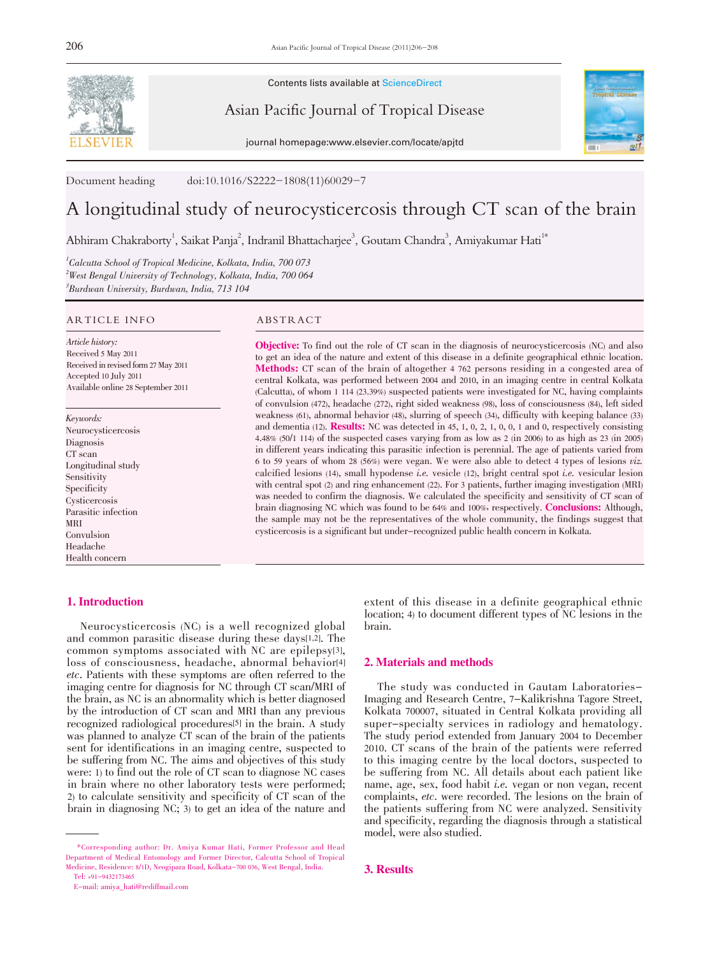

Contents lists available at ScienceDirect

Asian Pacific Journal of Tropical Disease

journal homepage:www.elsevier.com/locate/apjtd



Document heading doi:10.1016/S2222-1808(11)60029-7

# A longitudinal study of neurocysticercosis through CT scan of the brain

Abhiram Chakraborty<sup>1</sup>, Saikat Panja<sup>2</sup>, Indranil Bhattacharjee<sup>3</sup>, Goutam Chandra<sup>3</sup>, Amiyakumar Hati<sup>1\*</sup>

<sup>1</sup>Calcutta School of Tropical Medicine, Kolkata, India, 700 073  $^{2}$ West Bengal University of Technology, Kolkata, India, 700 064 3 Burdwan University, Burdwan, India, 713 104

#### ARTICLE INFO ABSTRACT

Article history: Received 5 May 2011 Received in revised form 27 May 2011 Accepted 10 July 2011 Available online 28 September 2011

Keywords: Neurocysticercosis **Diagnosis** CT scan Longitudinal study Sensitivity Specificity Cysticercosis Parasitic infection MRI Convulsion Headache Health concern

# 1. Introduction

Objective: To find out the role of CT scan in the diagnosis of neurocysticercosis (NC) and also to get an idea of the nature and extent of this disease in a definite geographical ethnic location. Methods: CT scan of the brain of altogether <sup>4</sup> <sup>762</sup> persons residing in a congested area of central Kolkata, was performed between 2004 and 2010, in an imaging centre in central Kolkata (Calcutta), of whom 1 114 (23.39%) suspected patients were investigated for NC, having complaints of convulsion (472), headache (272), right sided weakness (98), loss of consciousness (84), left sided weakness (61), abnormal behavior (48), slurring of speech (34), difficulty with keeping balance (33) and dementia (12). **Results:** NC was detected in 45, 1, 0, 2, 1, 0, 0, 1 and 0, respectively consisting 4.48% (50/1 114) of the suspected cases varying from as low as 2 (in 2006) to as high as 23 (in 2005) in different years indicating this parasitic infection is perennial. The age of patients varied from <sup>6</sup> to <sup>59</sup> years of whom <sup>28</sup> (56%) were vegan. We were also able to detect <sup>4</sup> types of lesions viz. calcified lesions  $(14)$ , small hypodense *i.e.* vesicle  $(12)$ , bright central spot *i.e.* vesicular lesion with central spot (2) and ring enhancement (22). For 3 patients, further imaging investigation (MRI) was needed to confirm the diagnosis. We calculated the specificity and sensitivity of CT scan of brain diagnosing NC which was found to be 64% and 100%, respectively. **Conclusions:** Although, the sample may not be the representatives of the whole community, the findings suggest that cysticercosis is a significant but under-recognized public health concern in Kolkata.

Neurocysticercosis (NC) is a well recognized global and common parasitic disease during these days[1,2]. The common symptoms associated with NC are epilepsy[3], loss of consciousness, headache, abnormal behavior[4] etc. Patients with these symptoms are often referred to the imaging centre for diagnosis for NC through CT scan/MRI of the brain, as NC is an abnormality which is better diagnosed by the introduction of CT scan and MRI than any previous recognized radiological procedures[5] in the brain. A study was planned to analyze CT scan of the brain of the patients sent for identifications in an imaging centre, suspected to be suffering from NC. The aims and objectives of this study were: 1) to find out the role of CT scan to diagnose NC cases in brain where no other laboratory tests were performed; 2) to calculate sensitivity and specificity of CT scan of the brain in diagnosing NC; 3) to get an idea of the nature and

extent of this disease in <sup>a</sup> definite geographical ethnic location; 4) to document different types of NC lesions in the brain.

# 2. Materials and methods

The study was conducted in Gautam Laboratories-Imaging and Research Centre, 7-Kalikrishna Tagore Street, Kolkata 700007, situated in Central Kolkata providing all super-specialty services in radiology and hematology. The study period extended from January 2004 to December 2010. CT scans of the brain of the patients were referred to this imaging centre by the local doctors, suspected to be suffering from NC. All details about each patient like name, age, sex, food habit i.e. vegan or non vegan, recent complaints, etc. were recorded. The lesions on the brain of the patients suffering from NC were analyzed. Sensitivity and specificity, regarding the diagnosis through a statistical model, were also studied.

# 3. Results

<sup>\*</sup>Corresponding author: Dr. Amiya Kumar Hati, Former Professor and Head Department of Medical Entomology and Former Director, Calcutta School of Tropical Medicine, Residence: 8/1D, Neogipara Road, Kolkata-700 036, West Bengal, India. Tel: +91-9432173465

E-mail: amiya\_hati@rediffmail.com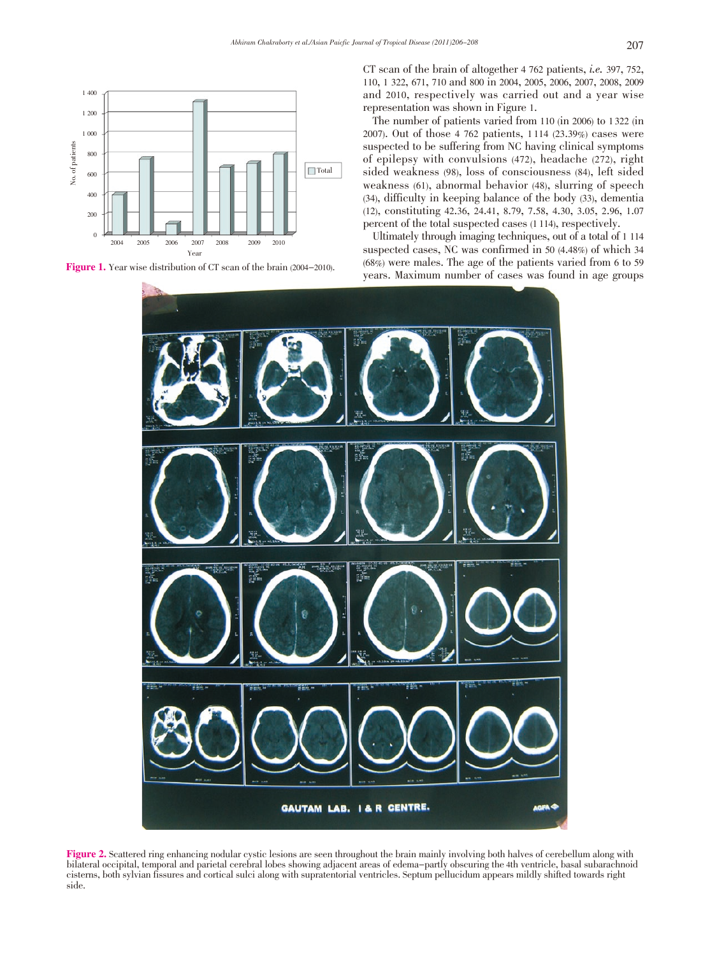



CT scan of the brain of altogether <sup>4</sup> <sup>762</sup> patients, i.e. 397, 752, 110, 1 322, 671, 710 and 800 in 2004, 2005, 2006, 2007, 2008, 2009 and 2010, respectively was carried out and a year wise representation was shown in Figure 1.

The number of patients varied from 110 (in 2006) to 1 322 (in 2007). Out of those 4 762 patients, 1 114 (23.39%) cases were suspected to be suffering from NC having clinical symptoms of epilepsy with convulsions (472), headache (272), right sided weakness (98), loss of consciousness (84), left sided weakness (61), abnormal behavior (48), slurring of speech (34), difficulty in keeping balance of the body (33), dementia (12), constituting 42.36, 24.41, 8.79, 7.58, 4.30, 3.05, 2.96, 1.07 percent of the total suspected cases (1 114), respectively.

Ultimately through imaging techniques, out of a total of 1 114 suspected cases, NC was confirmed in 50 (4.48%) of which 34 (68%) were males. The age of the patients varied from 6 to 59 years. Maximum number of cases was found in age groups



Figure 2. Scattered ring enhancing nodular cystic lesions are seen throughout the brain mainly involving both halves of cerebellum along with bilateral occipital, temporal and parietal cerebral lobes showing adjacent areas of edema-partly obscuring the 4th ventricle, basal subarachnoid cisterns, both sylvian fissures and cortical sulci along with supratentorial ventricles. Septum pellucidum appears mildly shifted towards right side.